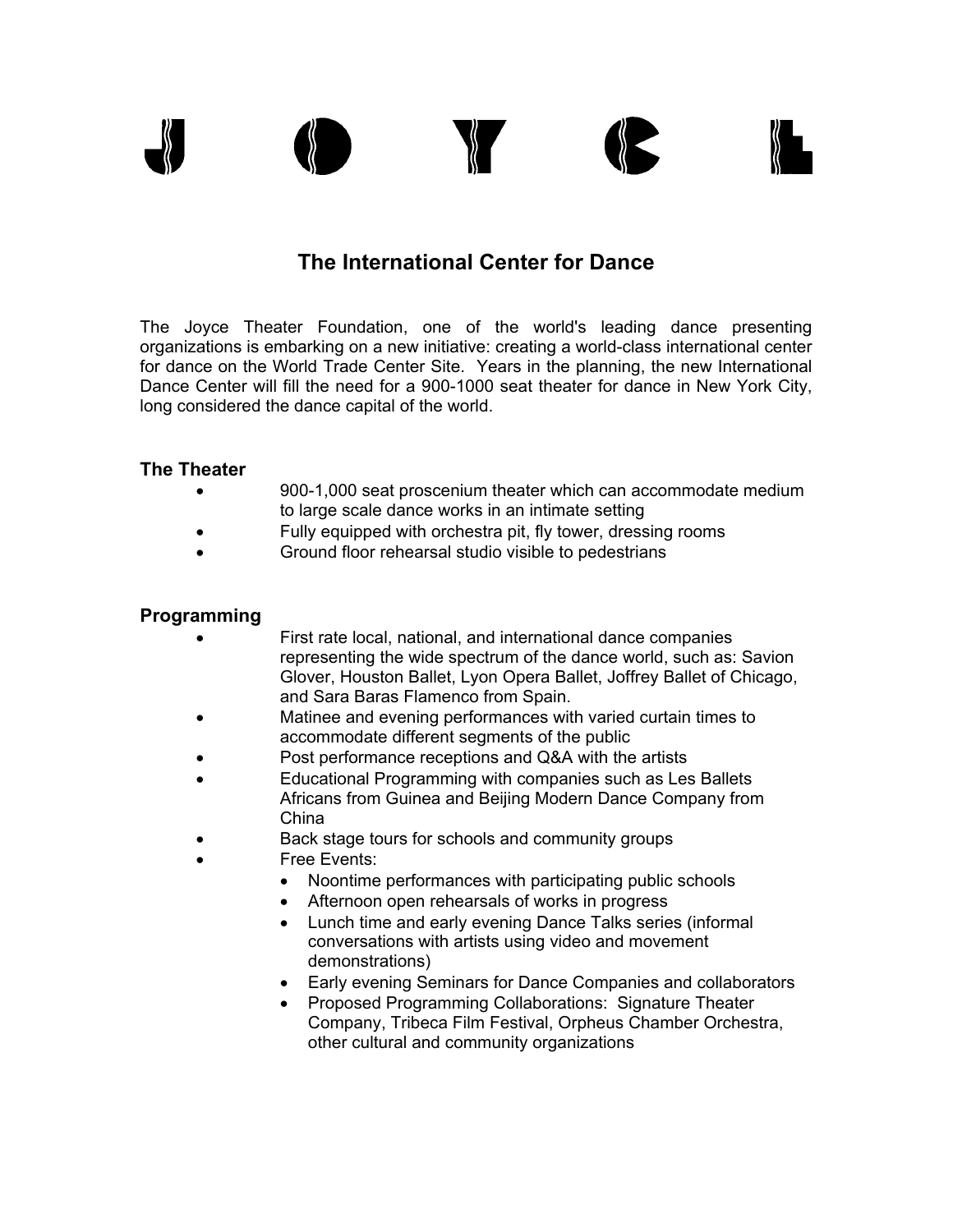

# **The International Center for Dance**

The Joyce Theater Foundation, one of the world's leading dance presenting organizations is embarking on a new initiative: creating a world-class international center for dance on the World Trade Center Site. Years in the planning, the new International Dance Center will fill the need for a 900-1000 seat theater for dance in New York City, long considered the dance capital of the world.

### **The Theater**

- 900-1,000 seat proscenium theater which can accommodate medium to large scale dance works in an intimate setting
- Fully equipped with orchestra pit, fly tower, dressing rooms
- Ground floor rehearsal studio visible to pedestrians

## **Programming**

- First rate local, national, and international dance companies representing the wide spectrum of the dance world, such as: Savion Glover, Houston Ballet, Lyon Opera Ballet, Joffrey Ballet of Chicago, and Sara Baras Flamenco from Spain.
- Matinee and evening performances with varied curtain times to accommodate different segments of the public
- Post performance receptions and Q&A with the artists
- Educational Programming with companies such as Les Ballets Africans from Guinea and Beijing Modern Dance Company from China
- Back stage tours for schools and community groups
- Free Events:
	- Noontime performances with participating public schools
	- Afternoon open rehearsals of works in progress
	- Lunch time and early evening Dance Talks series (informal conversations with artists using video and movement demonstrations)
	- Early evening Seminars for Dance Companies and collaborators
	- Proposed Programming Collaborations: Signature Theater Company, Tribeca Film Festival, Orpheus Chamber Orchestra, other cultural and community organizations